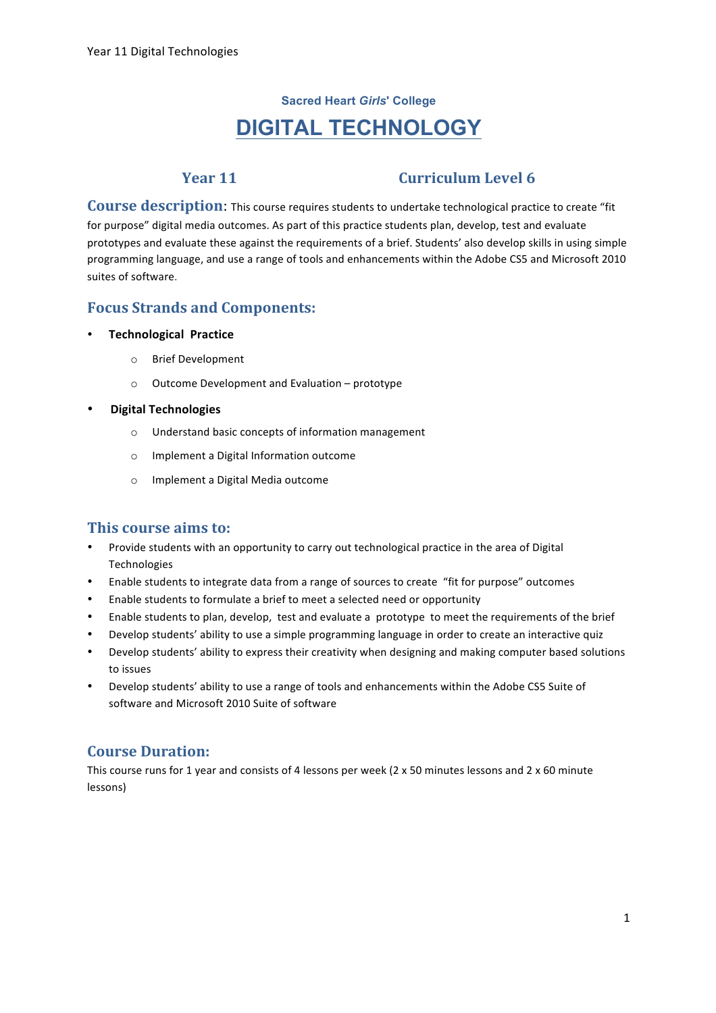# **Sacred Heart** *Girls***' College DIGITAL TECHNOLOGY**

## **Year 11 Curriculum Level 6**

**Course description:** This course requires students to undertake technological practice to create "fit for purpose" digital media outcomes. As part of this practice students plan, develop, test and evaluate prototypes and evaluate these against the requirements of a brief. Students' also develop skills in using simple programming language, and use a range of tools and enhancements within the Adobe CS5 and Microsoft 2010 suites of software.

## **Focus Strands and Components:**

#### **•** Technological Practice

- o Brief Development
- $\circ$  Outcome Development and Evaluation prototype

#### • **Digital+Technologies**

- $\circ$  Understand basic concepts of information management
- o Implement a Digital Information outcome
- o Implement a Digital Media outcome

### **This course aims to:**

- Provide students with an opportunity to carry out technological practice in the area of Digital Technologies
- Enable students to integrate data from a range of sources to create "fit for purpose" outcomes
- Enable students to formulate a brief to meet a selected need or opportunity
- Enable students to plan, develop, test and evaluate a prototype to meet the requirements of the brief
- Develop students' ability to use a simple programming language in order to create an interactive quiz
- Develop students' ability to express their creativity when designing and making computer based solutions to issues
- Develop students' ability to use a range of tools and enhancements within the Adobe CS5 Suite of software and Microsoft 2010 Suite of software

## **Course Duration:**

This course runs for 1 year and consists of 4 lessons per week (2 x 50 minutes lessons and 2 x 60 minute lessons)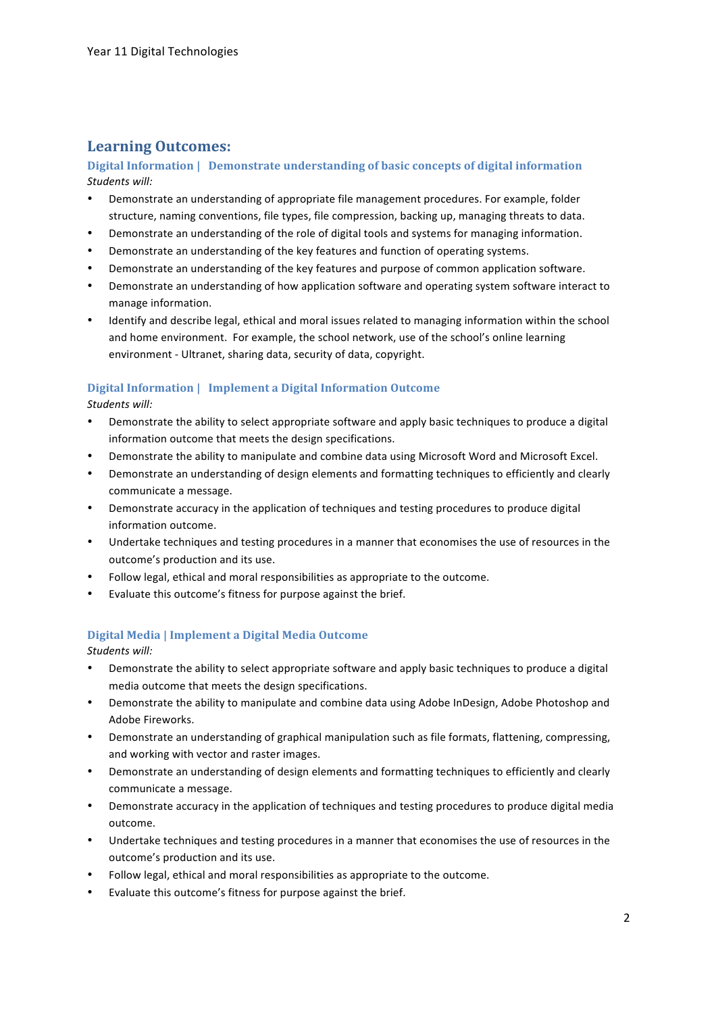## **Learning Outcomes:**

**Digital Information | Demonstrate understanding of basic concepts of digital information** *Students(will:*

- Demonstrate an understanding of appropriate file management procedures. For example, folder structure, naming conventions, file types, file compression, backing up, managing threats to data.
- Demonstrate an understanding of the role of digital tools and systems for managing information.
- Demonstrate an understanding of the key features and function of operating systems.
- Demonstrate an understanding of the key features and purpose of common application software.
- Demonstrate an understanding of how application software and operating system software interact to manage information.
- Identify and describe legal, ethical and moral issues related to managing information within the school and home environment. For example, the school network, use of the school's online learning environment - Ultranet, sharing data, security of data, copyright.

#### **Digital Information | Implement a Digital Information Outcome**

Students will:

- Demonstrate the ability to select appropriate software and apply basic techniques to produce a digital information outcome that meets the design specifications.
- Demonstrate the ability to manipulate and combine data using Microsoft Word and Microsoft Excel.
- Demonstrate an understanding of design elements and formatting techniques to efficiently and clearly communicate a message.
- Demonstrate accuracy in the application of techniques and testing procedures to produce digital information outcome.
- Undertake techniques and testing procedures in a manner that economises the use of resources in the outcome's production and its use.
- Follow legal, ethical and moral responsibilities as appropriate to the outcome.
- Evaluate this outcome's fitness for purpose against the brief.

#### **Digital!Media |!Implement a!Digital!Media Outcome**

Students will:

- Demonstrate the ability to select appropriate software and apply basic techniques to produce a digital media outcome that meets the design specifications.
- Demonstrate the ability to manipulate and combine data using Adobe InDesign, Adobe Photoshop and Adobe Fireworks.
- Demonstrate an understanding of graphical manipulation such as file formats, flattening, compressing, and working with vector and raster images.
- Demonstrate an understanding of design elements and formatting techniques to efficiently and clearly communicate a message.
- Demonstrate accuracy in the application of techniques and testing procedures to produce digital media outcome.
- Undertake techniques and testing procedures in a manner that economises the use of resources in the outcome's production and its use.
- Follow legal, ethical and moral responsibilities as appropriate to the outcome.
- Evaluate this outcome's fitness for purpose against the brief.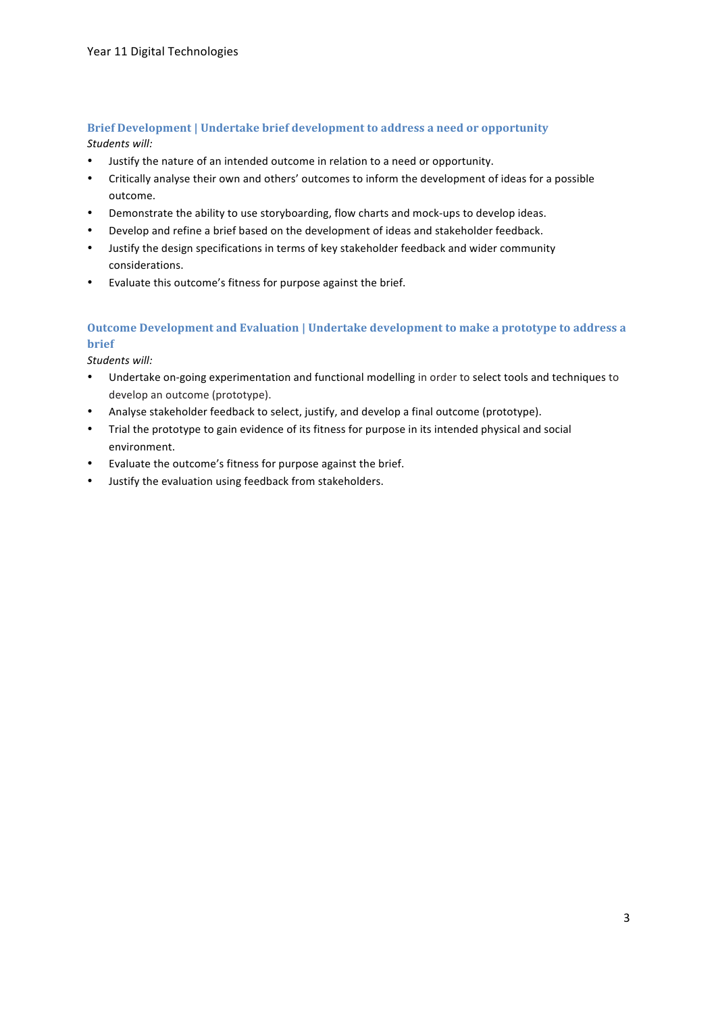#### **Brief Development | Undertake brief development to address a need or opportunity** Students will:

- Justify the nature of an intended outcome in relation to a need or opportunity.
- Critically analyse their own and others' outcomes to inform the development of ideas for a possible outcome.
- Demonstrate the ability to use storyboarding, flow charts and mock-ups to develop ideas.
- Develop and refine a brief based on the development of ideas and stakeholder feedback.
- Justify the design specifications in terms of key stakeholder feedback and wider community considerations.
- Evaluate this outcome's fitness for purpose against the brief.

## **Outcome Development and Evaluation | Undertake development to make a prototype to address a brief**

Students will:

- Undertake on-going experimentation and functional modelling in order to select tools and techniques to develop an outcome (prototype).
- Analyse stakeholder feedback to select, justify, and develop a final outcome (prototype).
- Trial the prototype to gain evidence of its fitness for purpose in its intended physical and social environment.
- Evaluate the outcome's fitness for purpose against the brief.
- Justify the evaluation using feedback from stakeholders.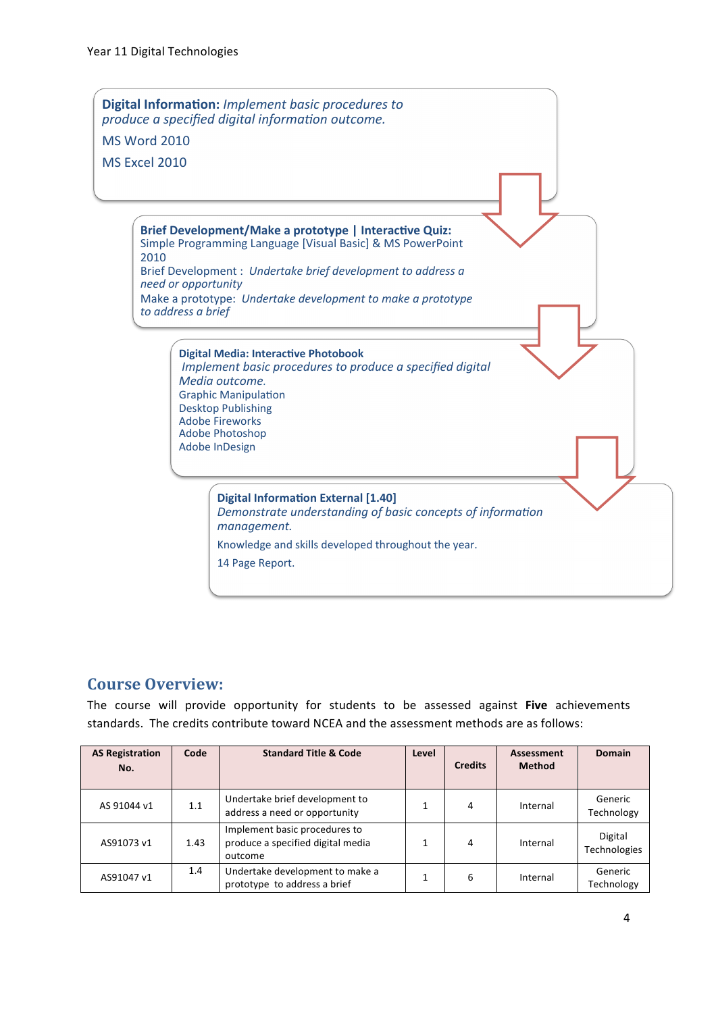

## **Course!Overview:**

The course will provide opportunity for students to be assessed against **Five** achievements standards. The credits contribute toward NCEA and the assessment methods are as follows:

| <b>AS Registration</b><br>No. | Code | <b>Standard Title &amp; Code</b><br>Level                                     |  | <b>Credits</b> | Assessment<br><b>Method</b> | <b>Domain</b>                  |
|-------------------------------|------|-------------------------------------------------------------------------------|--|----------------|-----------------------------|--------------------------------|
| AS 91044 v1                   | 1.1  | Undertake brief development to<br>address a need or opportunity               |  | 4              | Internal                    | Generic<br>Technology          |
| AS91073 v1                    | 1.43 | Implement basic procedures to<br>produce a specified digital media<br>outcome |  | 4              | Internal                    | Digital<br><b>Technologies</b> |
| AS91047 v1                    | 1.4  | Undertake development to make a<br>prototype to address a brief               |  | 6              | Internal                    | Generic<br>Technology          |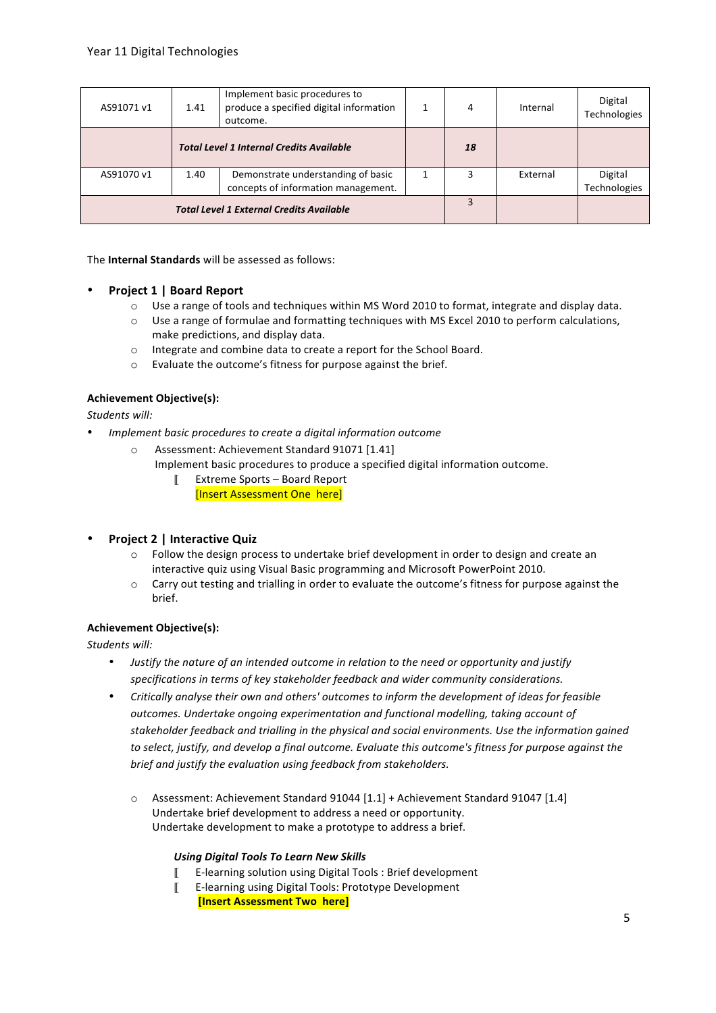| AS91071 v1 | 1.41 | Implement basic procedures to<br>produce a specified digital information<br>outcome. | 4  | Internal | Digital<br>Technologies |
|------------|------|--------------------------------------------------------------------------------------|----|----------|-------------------------|
|            |      | <b>Total Level 1 Internal Credits Available</b>                                      | 18 |          |                         |
| AS91070 v1 | 1.40 | Demonstrate understanding of basic<br>concepts of information management.            |    | External | Digital<br>Technologies |
|            |      | <b>Total Level 1 External Credits Available</b>                                      |    |          |                         |

The **Internal Standards** will be assessed as follows:

- **Project 1 | Board Report** 
	- $\circ$  Use a range of tools and techniques within MS Word 2010 to format, integrate and display data.
	- $\circ$  Use a range of formulae and formatting techniques with MS Excel 2010 to perform calculations, make predictions, and display data.
	- o Integrate and combine data to create a report for the School Board.
	- $\circ$  Evaluate the outcome's fitness for purpose against the brief.

#### **Achievement+Objective(s):**

Students will:

- *Implement basic procedures to create a digital information outcome* 
	- o Assessment: Achievement Standard 91071 [1.41]
		- Implement basic procedures to produce a specified digital information outcome.
			- $\llbracket$  Extreme Sports Board Report [Insert Assessment One here]
- **Project 2 | Interactive Quiz** 
	- $\circ$  Follow the design process to undertake brief development in order to design and create an interactive quiz using Visual Basic programming and Microsoft PowerPoint 2010.
	- $\circ$  Carry out testing and trialling in order to evaluate the outcome's fitness for purpose against the brief.

#### **Achievement+Objective(s):**

Students will:

- *Justify the nature of an intended outcome in relation to the need or opportunity and justify* specifications in terms of key stakeholder feedback and wider community considerations.
- Critically analyse their own and others' outcomes to inform the development of ideas for feasible *outcomes.(Undertake(ongoing(experimentation(and(functional(modelling,(taking(account(of(* stakeholder feedback and trialling in the physical and social environments. Use the information gained to select, justify, and develop a final outcome. Evaluate this outcome's fitness for purpose against the brief and justify the evaluation using feedback from stakeholders.
	- $\circ$  Assessment: Achievement Standard 91044 [1.1] + Achievement Standard 91047 [1.4] Undertake brief development to address a need or opportunity. Undertake development to make a prototype to address a brief.

#### **Using Digital Tools To Learn New Skills**

- $\llbracket$  E-learning solution using Digital Tools : Brief development
- EXlearning%using%Digital%Tools:%Prototype%Development
- **[Insert Assessment Two here]**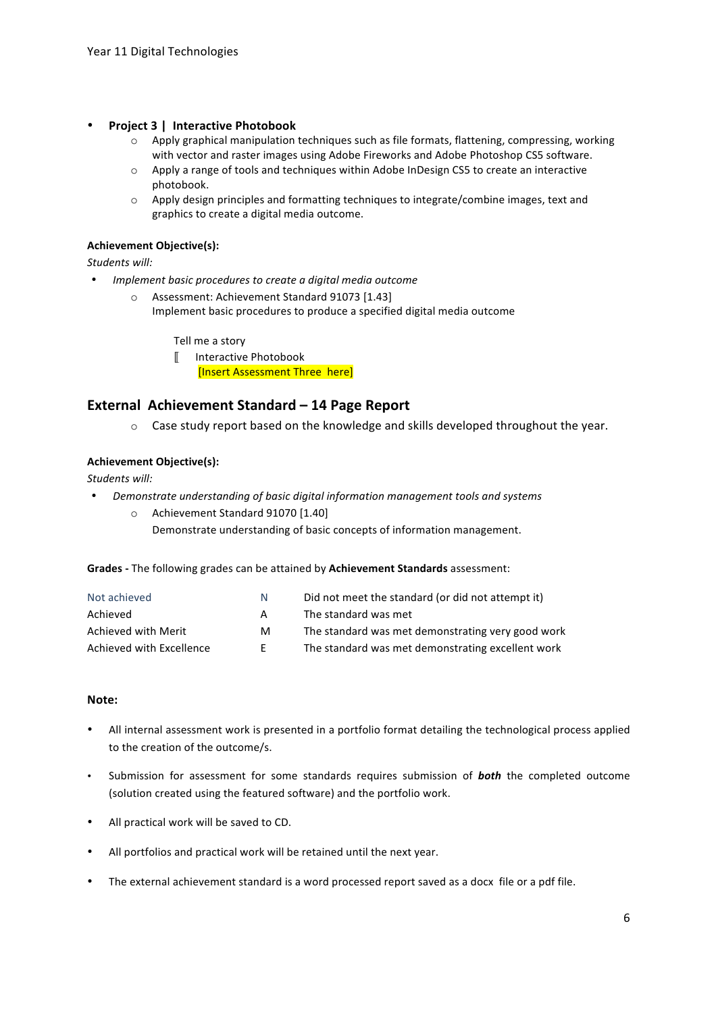- **Project 3** | Interactive Photobook
	- $\circ$  Apply graphical manipulation techniques such as file formats, flattening, compressing, working with vector and raster images using Adobe Fireworks and Adobe Photoshop CS5 software.
	- $\circ$  Apply a range of tools and techniques within Adobe InDesign CS5 to create an interactive photobook.
	- $\circ$  Apply design principles and formatting techniques to integrate/combine images, text and graphics to create a digital media outcome.

#### **Achievement+Objective(s):**

Students will:

- *Implement basic procedures to create a digital media outcome* 
	- o Assessment: Achievement Standard 91073 [1.43] Implement basic procedures to produce a specified digital media outcome

Tell me a story

**Ⅱ** Interactive Photobook [Insert Assessment Three here]

### **External Achievement Standard – 14 Page Report**

 $\circ$  Case study report based on the knowledge and skills developed throughout the year.

#### **Achievement+Objective(s):**

Students will:

- *Demonstrate understanding of basic digital information management tools and systems* 
	- $\circ$  Achievement Standard 91070 [1.40]
		- Demonstrate understanding of basic concepts of information management.

Grades - The following grades can be attained by **Achievement Standards** assessment:

| Not achieved             | N  | Did not meet the standard (or did not attempt it) |
|--------------------------|----|---------------------------------------------------|
| Achieved                 | A  | The standard was met                              |
| Achieved with Merit      | м  | The standard was met demonstrating very good work |
| Achieved with Excellence | F. | The standard was met demonstrating excellent work |

#### **Note:**

- All internal assessment work is presented in a portfolio format detailing the technological process applied to the creation of the outcome/s.
- Submission for assessment for some standards requires submission of **both** the completed outcome (solution created using the featured software) and the portfolio work.
- All practical work will be saved to CD.
- All portfolios and practical work will be retained until the next year.
- The external achievement standard is a word processed report saved as a docx file or a pdf file.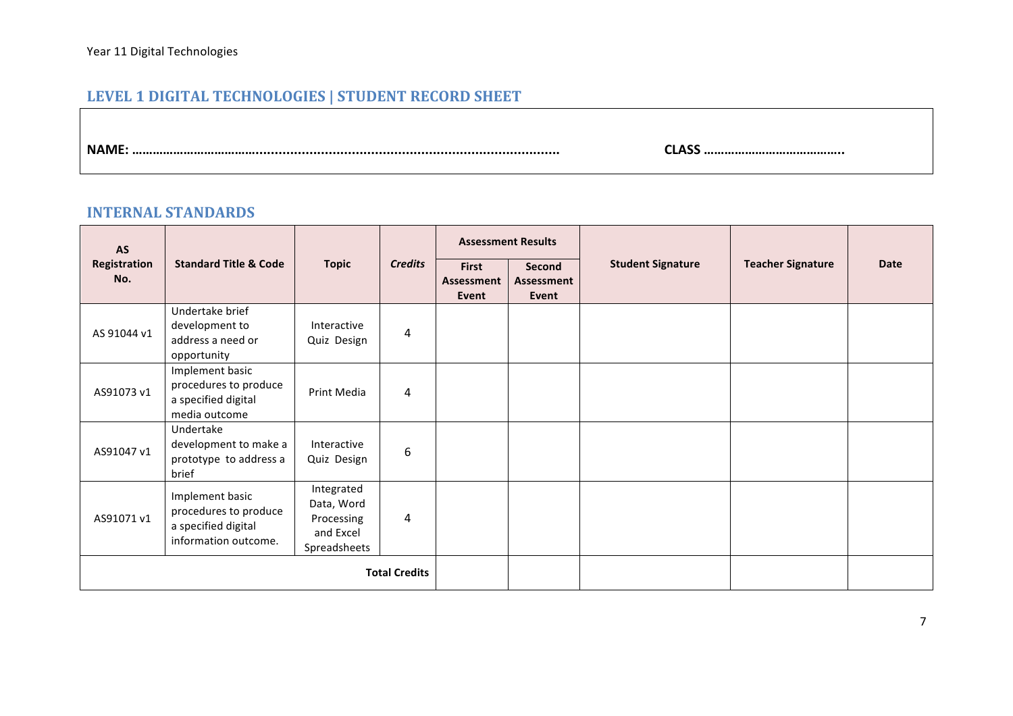# **LEVEL 1 DIGITAL TECHNOLOGIES | STUDENT RECORD SHEET**

**NAME:!………………………………...............................................................................!!!!!!!!!!!!!!!!!!!!!!!!!!!!!!!!CLASS!…………………………………..**

## **INTERNAL STANDARDS**

| <b>AS</b>           |                                                                                         |                                                                     |                      |                                     | <b>Assessment Results</b>     |                          |                          |             |
|---------------------|-----------------------------------------------------------------------------------------|---------------------------------------------------------------------|----------------------|-------------------------------------|-------------------------------|--------------------------|--------------------------|-------------|
| Registration<br>No. | <b>Standard Title &amp; Code</b>                                                        | <b>Topic</b>                                                        | <b>Credits</b>       | <b>First</b><br>Assessment<br>Event | Second<br>Assessment<br>Event | <b>Student Signature</b> | <b>Teacher Signature</b> | <b>Date</b> |
| AS 91044 v1         | Undertake brief<br>development to<br>address a need or<br>opportunity                   | Interactive<br>Quiz Design                                          | 4                    |                                     |                               |                          |                          |             |
| AS91073 v1          | Implement basic<br>procedures to produce<br>a specified digital<br>media outcome        | Print Media                                                         | 4                    |                                     |                               |                          |                          |             |
| AS91047 v1          | Undertake<br>development to make a<br>prototype to address a<br>brief                   | Interactive<br>Quiz Design                                          | 6                    |                                     |                               |                          |                          |             |
| AS91071 v1          | Implement basic<br>procedures to produce<br>a specified digital<br>information outcome. | Integrated<br>Data, Word<br>Processing<br>and Excel<br>Spreadsheets | 4                    |                                     |                               |                          |                          |             |
|                     |                                                                                         |                                                                     | <b>Total Credits</b> |                                     |                               |                          |                          |             |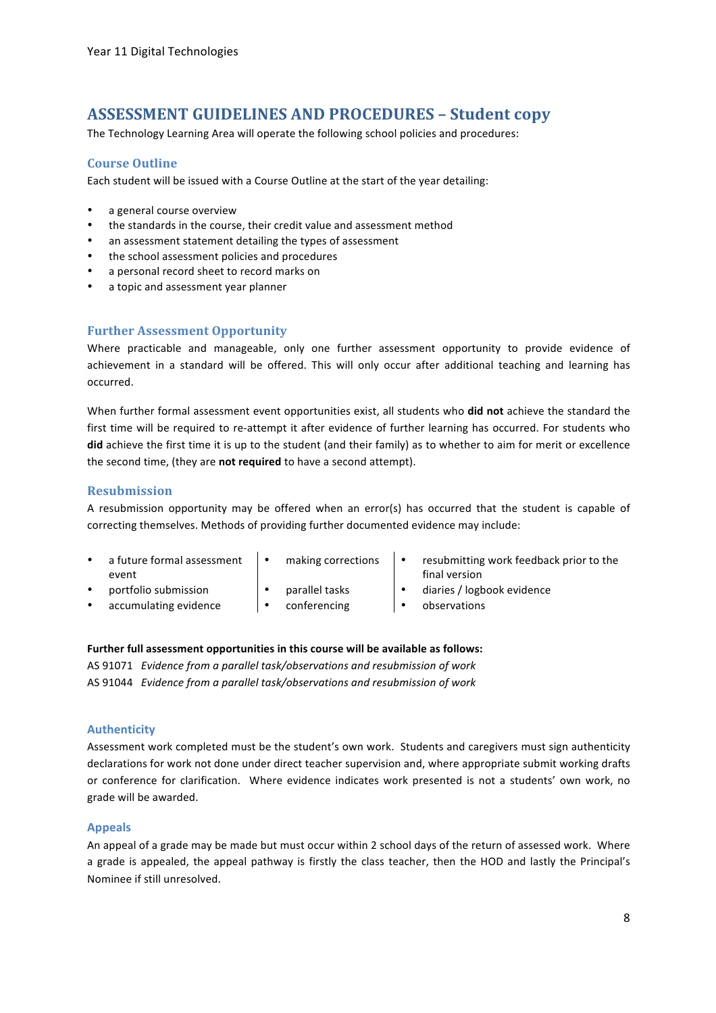## **ASSESSMENT'GUIDELINES'AND'PROCEDURES'– Student'copy**

The Technology Learning Area will operate the following school policies and procedures:

#### **Course'Outline**

Each student will be issued with a Course Outline at the start of the year detailing:

- a general course overview
- the standards in the course, their credit value and assessment method
- an assessment statement detailing the types of assessment
- the school assessment policies and procedures
- a personal record sheet to record marks on
- a topic and assessment year planner

### **Further Assessment Opportunity**

Where practicable and manageable, only one further assessment opportunity to provide evidence of achievement in a standard will be offered. This will only occur after additional teaching and learning has occurred.

When further formal assessment event opportunities exist, all students who **did not** achieve the standard the first time will be required to re-attempt it after evidence of further learning has occurred. For students who **did** achieve the first time it is up to the student (and their family) as to whether to aim for merit or excellence the second time, (they are not required to have a second attempt).

#### **Resubmission**

A resubmission opportunity may be offered when an error(s) has occurred that the student is capable of correcting themselves. Methods of providing further documented evidence may include:

- a future formal assessment event
	- -
- making corrections  $\|\cdot\|$  resubmitting work feedback prior to the final version
	- **bortfolio submission • parallel tasks •** diaries / logbook evidence
	- $\arctan$  accumulating evidence  $\qquad \qquad \bullet$  conferencing  $\qquad \qquad \bullet$  observations

#### Further full assessment opportunities in this course will be available as follows:

AS 91071 Evidence from a parallel task/observations and resubmission of work AS 91044 Evidence from a parallel task/observations and resubmission of work

#### **Authenticity**

Assessment work completed must be the student's own work. Students and caregivers must sign authenticity declarations for work not done under direct teacher supervision and, where appropriate submit working drafts or conference for clarification. Where evidence indicates work presented is not a students' own work, no grade will be awarded.

#### **Appeals**

An appeal of a grade may be made but must occur within 2 school days of the return of assessed work. Where a grade is appealed, the appeal pathway is firstly the class teacher, then the HOD and lastly the Principal's Nominee if still unresolved.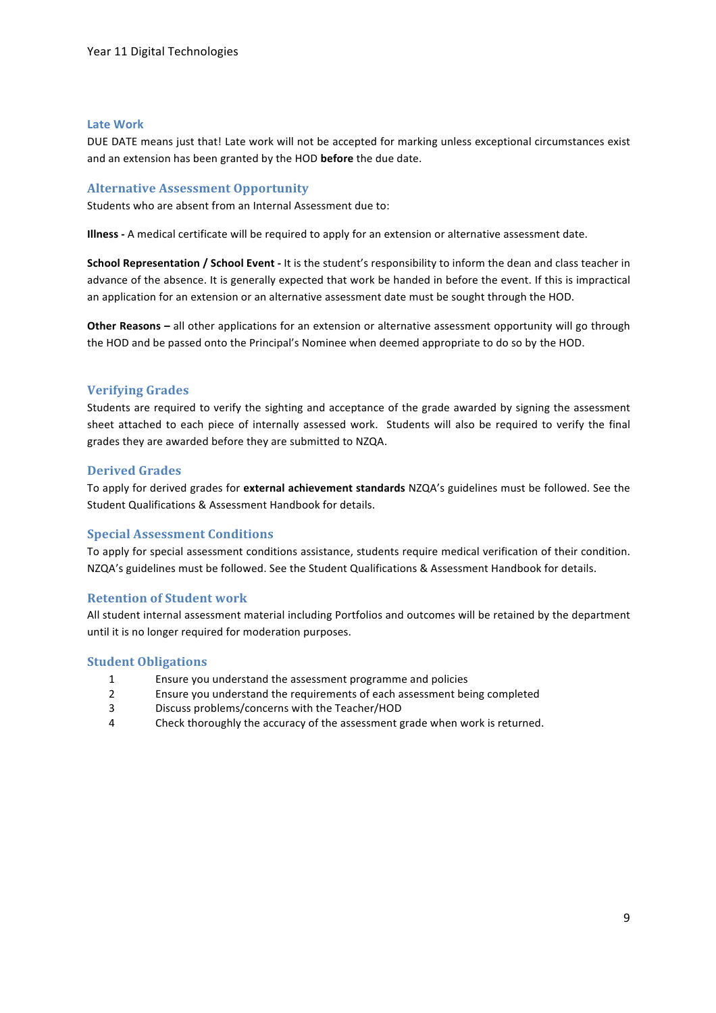#### **Late Work**

DUE DATE means just that! Late work will not be accepted for marking unless exceptional circumstances exist and an extension has been granted by the HOD before the due date.

#### **Alternative Assessment Opportunity**

Students who are absent from an Internal Assessment due to:

**Illness** - A medical certificate will be required to apply for an extension or alternative assessment date.

**School Representation / School Event** - It is the student's responsibility to inform the dean and class teacher in advance of the absence. It is generally expected that work be handed in before the event. If this is impractical an application for an extension or an alternative assessment date must be sought through the HOD.

**Other Reasons –** all other applications for an extension or alternative assessment opportunity will go through the HOD and be passed onto the Principal's Nominee when deemed appropriate to do so by the HOD.

#### **Verifying'Grades**

Students are required to verify the sighting and acceptance of the grade awarded by signing the assessment sheet attached to each piece of internally assessed work. Students will also be required to verify the final grades they are awarded before they are submitted to NZQA.

#### **Derived'Grades**

To apply for derived grades for external achievement standards NZQA's guidelines must be followed. See the Student Qualifications & Assessment Handbook for details.

#### **Special Assessment Conditions**

To apply for special assessment conditions assistance, students require medical verification of their condition. NZQA's guidelines must be followed. See the Student Qualifications & Assessment Handbook for details.

#### **Retention of Student work**

All student internal assessment material including Portfolios and outcomes will be retained by the department until it is no longer required for moderation purposes.

#### **Student Obligations**

- 1 Ensure you understand the assessment programme and policies
- 2 Ensure you understand the requirements of each assessment being completed
- 3 Discuss problems/concerns with the Teacher/HOD
- 4 Check thoroughly the accuracy of the assessment grade when work is returned.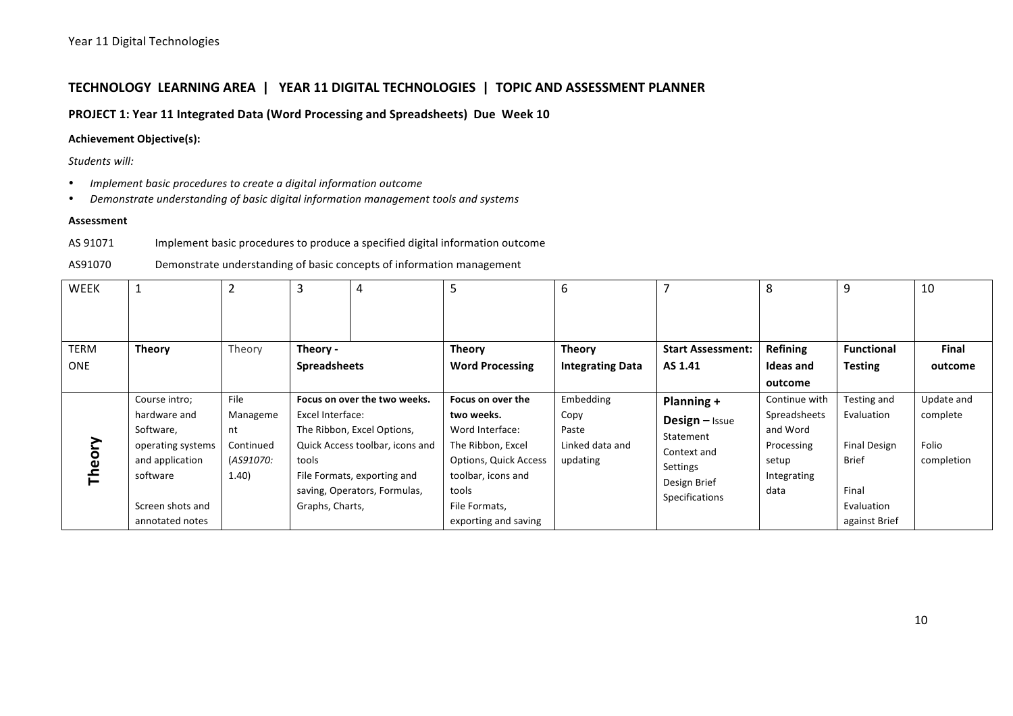### TECHNOLOGY LEARNING AREA | YEAR 11 DIGITAL TECHNOLOGIES | TOPIC AND ASSESSMENT PLANNER

**PROJECT 1: Year 11 Integrated Data (Word Processing and Spreadsheets) Due Week 10** 

#### **Achievement Objective(s):**

Students will:

- *Implement basic procedures to create a digital information outcome*
- *Demonstrate understanding of basic digital information management tools and systems*

#### **Assessment**

AS 91071 Implement basic procedures to produce a specified digital information outcome

AS91070 Demonstrate understanding of basic concepts of information management

| WEEK        |                   | $\overline{2}$ | 3                   | 4                               |                              | 6                       |                          | 8               | 9                   | 10           |
|-------------|-------------------|----------------|---------------------|---------------------------------|------------------------------|-------------------------|--------------------------|-----------------|---------------------|--------------|
| <b>TERM</b> | <b>Theory</b>     | Theory         | Theory -            |                                 | <b>Theory</b>                | <b>Theory</b>           | <b>Start Assessment:</b> | <b>Refining</b> | <b>Functional</b>   | <b>Final</b> |
| <b>ONE</b>  |                   |                | <b>Spreadsheets</b> |                                 | <b>Word Processing</b>       | <b>Integrating Data</b> | AS 1.41                  | Ideas and       | <b>Testing</b>      | outcome      |
|             |                   |                |                     |                                 |                              |                         |                          | outcome         |                     |              |
|             | Course intro;     | File           |                     | Focus on over the two weeks.    | Focus on over the            | Embedding               | Planning +               | Continue with   | Testing and         | Update and   |
|             | hardware and      | Manageme       | Excel Interface:    |                                 | two weeks.                   | Copy                    | Design - Issue           | Spreadsheets    | Evaluation          | complete     |
|             | Software,         | nt             |                     | The Ribbon, Excel Options,      | Word Interface:              | Paste                   | Statement                | and Word        |                     |              |
| Theory      | operating systems | Continued      |                     | Quick Access toolbar, icons and | The Ribbon, Excel            | Linked data and         | Context and              | Processing      | <b>Final Design</b> | Folio        |
|             | and application   | (AS91070:      | tools               |                                 | <b>Options, Quick Access</b> | updating                | Settings                 | setup           | <b>Brief</b>        | completion   |
|             | software          | 1.40)          |                     | File Formats, exporting and     | toolbar, icons and           |                         | Design Brief             | Integrating     |                     |              |
|             |                   |                |                     | saving, Operators, Formulas,    | tools                        |                         | Specifications           | data            | Final               |              |
|             | Screen shots and  |                | Graphs, Charts,     |                                 | File Formats,                |                         |                          |                 | Evaluation          |              |
|             | annotated notes   |                |                     |                                 | exporting and saving         |                         |                          |                 | against Brief       |              |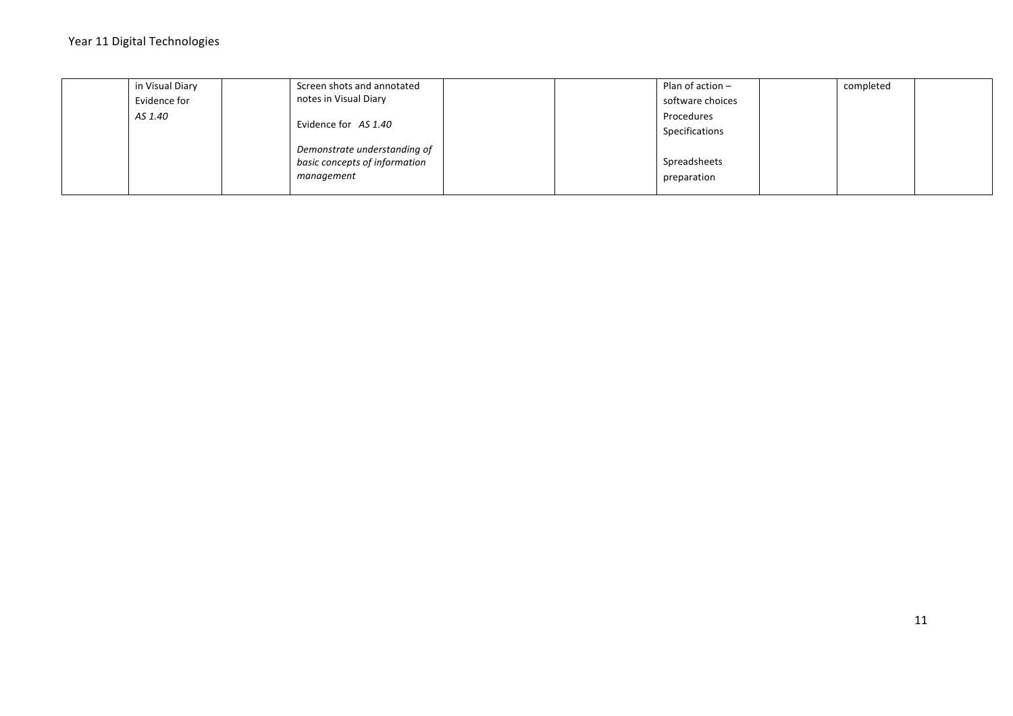| in Visual Diary |  | Screen shots and annotated    |  | Plan of action $-$ | completed |  |
|-----------------|--|-------------------------------|--|--------------------|-----------|--|
| Evidence for    |  | notes in Visual Diary         |  | software choices   |           |  |
| AS 1.40         |  |                               |  | Procedures         |           |  |
|                 |  | Evidence for AS 1.40          |  | Specifications     |           |  |
|                 |  | Demonstrate understanding of  |  |                    |           |  |
|                 |  | basic concepts of information |  | Spreadsheets       |           |  |
|                 |  | management                    |  | preparation        |           |  |
|                 |  |                               |  |                    |           |  |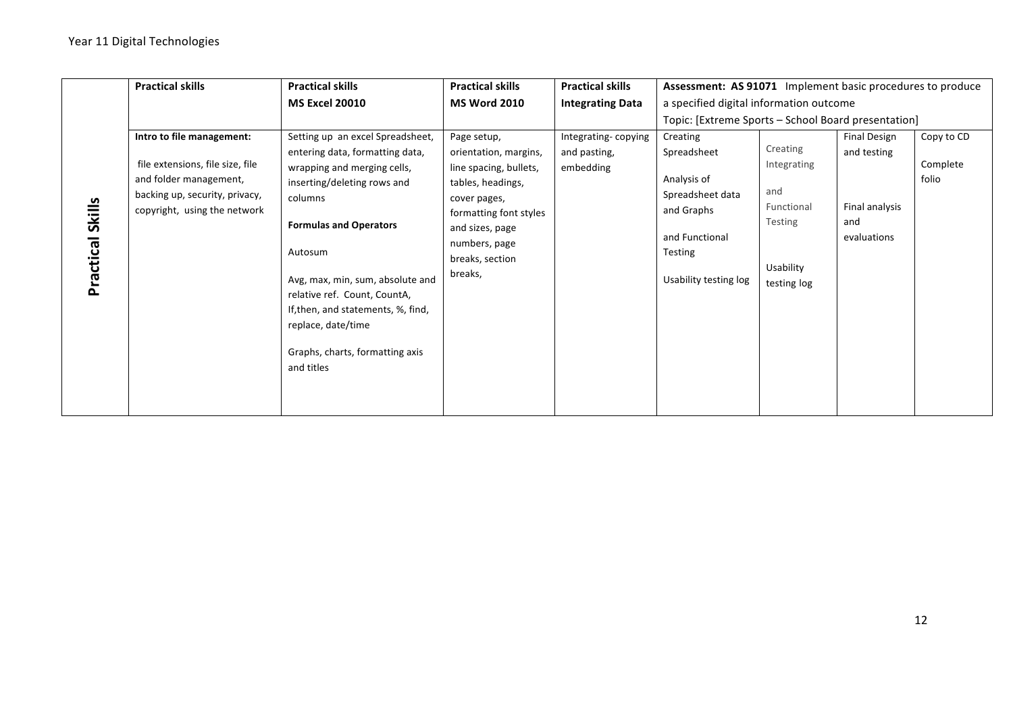|                            | <b>Practical skills</b>                                                                                                                                   | <b>Practical skills</b>                                                                                                                                                                                                                                                                                                                                                   | <b>Practical skills</b>                                                                                                                                                                         | <b>Practical skills</b>                          | Assessment: AS 91071 Implement basic procedures to produce                                                                     |                                                                                     |                                                                            |                                 |
|----------------------------|-----------------------------------------------------------------------------------------------------------------------------------------------------------|---------------------------------------------------------------------------------------------------------------------------------------------------------------------------------------------------------------------------------------------------------------------------------------------------------------------------------------------------------------------------|-------------------------------------------------------------------------------------------------------------------------------------------------------------------------------------------------|--------------------------------------------------|--------------------------------------------------------------------------------------------------------------------------------|-------------------------------------------------------------------------------------|----------------------------------------------------------------------------|---------------------------------|
|                            |                                                                                                                                                           | <b>MS Excel 20010</b>                                                                                                                                                                                                                                                                                                                                                     | <b>MS Word 2010</b>                                                                                                                                                                             | <b>Integrating Data</b>                          | a specified digital information outcome                                                                                        |                                                                                     |                                                                            |                                 |
|                            |                                                                                                                                                           |                                                                                                                                                                                                                                                                                                                                                                           |                                                                                                                                                                                                 |                                                  | Topic: [Extreme Sports - School Board presentation]                                                                            |                                                                                     |                                                                            |                                 |
| <b>Skills</b><br>Practical | Intro to file management:<br>file extensions, file size, file<br>and folder management,<br>backing up, security, privacy,<br>copyright, using the network | Setting up an excel Spreadsheet,<br>entering data, formatting data,<br>wrapping and merging cells,<br>inserting/deleting rows and<br>columns<br><b>Formulas and Operators</b><br>Autosum<br>Avg, max, min, sum, absolute and<br>relative ref. Count, CountA,<br>If, then, and statements, %, find,<br>replace, date/time<br>Graphs, charts, formatting axis<br>and titles | Page setup,<br>orientation, margins,<br>line spacing, bullets,<br>tables, headings,<br>cover pages,<br>formatting font styles<br>and sizes, page<br>numbers, page<br>breaks, section<br>breaks, | Integrating-copying<br>and pasting,<br>embedding | Creating<br>Spreadsheet<br>Analysis of<br>Spreadsheet data<br>and Graphs<br>and Functional<br>Testing<br>Usability testing log | Creating<br>Integrating<br>and<br>Functional<br>Testing<br>Usability<br>testing log | <b>Final Design</b><br>and testing<br>Final analysis<br>and<br>evaluations | Copy to CD<br>Complete<br>folio |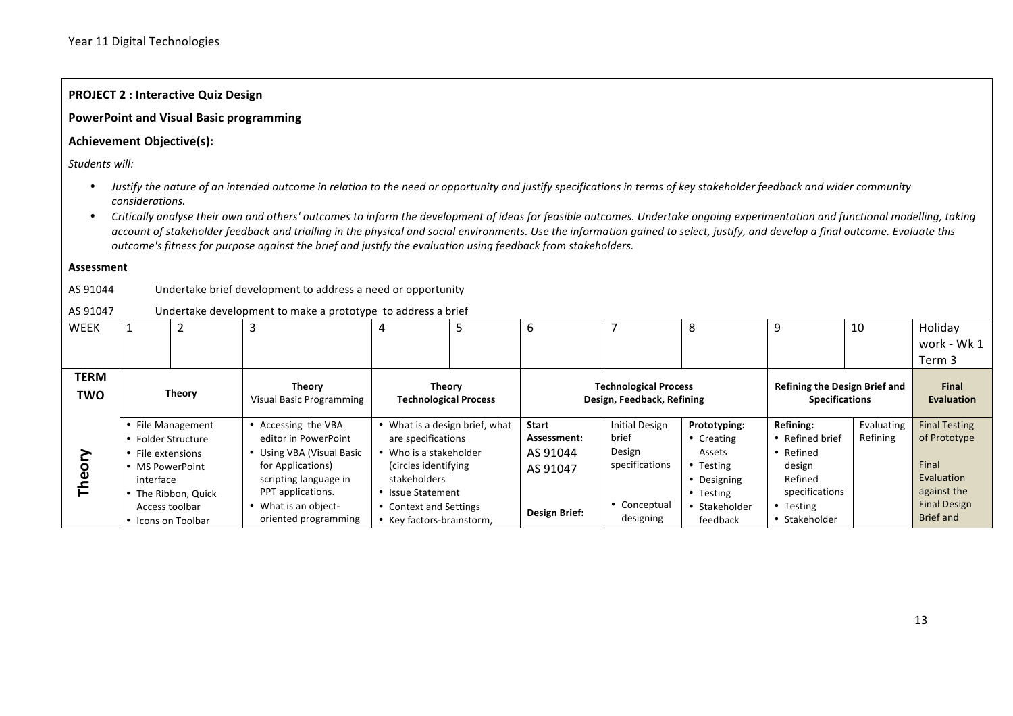#### **PROJECT 2 : Interactive Quiz Design**

#### PowerPoint and Visual Basic programming

#### **Achievement Objective(s):**

Students will:

- Justify the nature of an intended outcome in relation to the need or opportunity and justify specifications in terms of key stakeholder feedback and wider community *considerations.*
- Critically analyse their own and others' outcomes to inform the development of ideas for feasible outcomes. Undertake ongoing experimentation and functional modelling, taking account of stakeholder feedback and trialling in the physical and social environments. Use the information gained to select, justify, and develop a final outcome. Evaluate this *outcome's fitness for purpose against the brief and justify the evaluation using feedback from stakeholders.*

#### **Assessment**

#### AS 91044 Undertake brief development to address a need or opportunity

#### AS 91047 Undertake development to make a prototype to address a brief

| WEEK               |                                                                                                                 | ∠                                        | 3                                                                                                                                                                                       | 4                                                                                                                                                                                                   | 5 | 6                                                                    |                                                                                         | 8                                                                                                          | 9                                                                                                            | 10                                                            | Holiday                                                                                                               |
|--------------------|-----------------------------------------------------------------------------------------------------------------|------------------------------------------|-----------------------------------------------------------------------------------------------------------------------------------------------------------------------------------------|-----------------------------------------------------------------------------------------------------------------------------------------------------------------------------------------------------|---|----------------------------------------------------------------------|-----------------------------------------------------------------------------------------|------------------------------------------------------------------------------------------------------------|--------------------------------------------------------------------------------------------------------------|---------------------------------------------------------------|-----------------------------------------------------------------------------------------------------------------------|
|                    |                                                                                                                 |                                          |                                                                                                                                                                                         |                                                                                                                                                                                                     |   |                                                                      |                                                                                         |                                                                                                            |                                                                                                              |                                                               | work - Wk 1                                                                                                           |
|                    |                                                                                                                 |                                          |                                                                                                                                                                                         |                                                                                                                                                                                                     |   |                                                                      |                                                                                         |                                                                                                            |                                                                                                              |                                                               | Term 3                                                                                                                |
| TERM<br><b>TWO</b> | <b>Theory</b>                                                                                                   |                                          | Theory<br><b>Visual Basic Programming</b>                                                                                                                                               | <b>Theory</b><br><b>Technological Process</b>                                                                                                                                                       |   | <b>Technological Process</b><br>Design, Feedback, Refining           |                                                                                         |                                                                                                            |                                                                                                              | <b>Refining the Design Brief and</b><br><b>Specifications</b> |                                                                                                                       |
| ᄐ                  | • Folder Structure<br>• File extensions<br>• MS PowerPoint<br>interface<br>Access toolbar<br>• Icons on Toolbar | • File Management<br>• The Ribbon, Quick | • Accessing the VBA<br>editor in PowerPoint<br>Using VBA (Visual Basic<br>for Applications)<br>scripting language in<br>PPT applications.<br>What is an object-<br>oriented programming | • What is a design brief, what<br>are specifications<br>• Who is a stakeholder<br>(circles identifying)<br>stakeholders<br>• Issue Statement<br>• Context and Settings<br>• Key factors-brainstorm, |   | <b>Start</b><br>Assessment:<br>AS 91044<br>AS 91047<br>Design Brief: | <b>Initial Design</b><br>brief<br>Design<br>specifications<br>• Conceptual<br>designing | Prototyping:<br>• Creating<br>Assets<br>• Testing<br>• Designing<br>• Testing<br>• Stakeholder<br>feedback | Refining:<br>• Refined brief<br>• Refined<br>design<br>Refined<br>specifications<br>Testing<br>• Stakeholder | Evaluating<br>Refining                                        | <b>Final Testing</b><br>of Prototype<br>Final<br>Evaluation<br>against the<br><b>Final Design</b><br><b>Brief and</b> |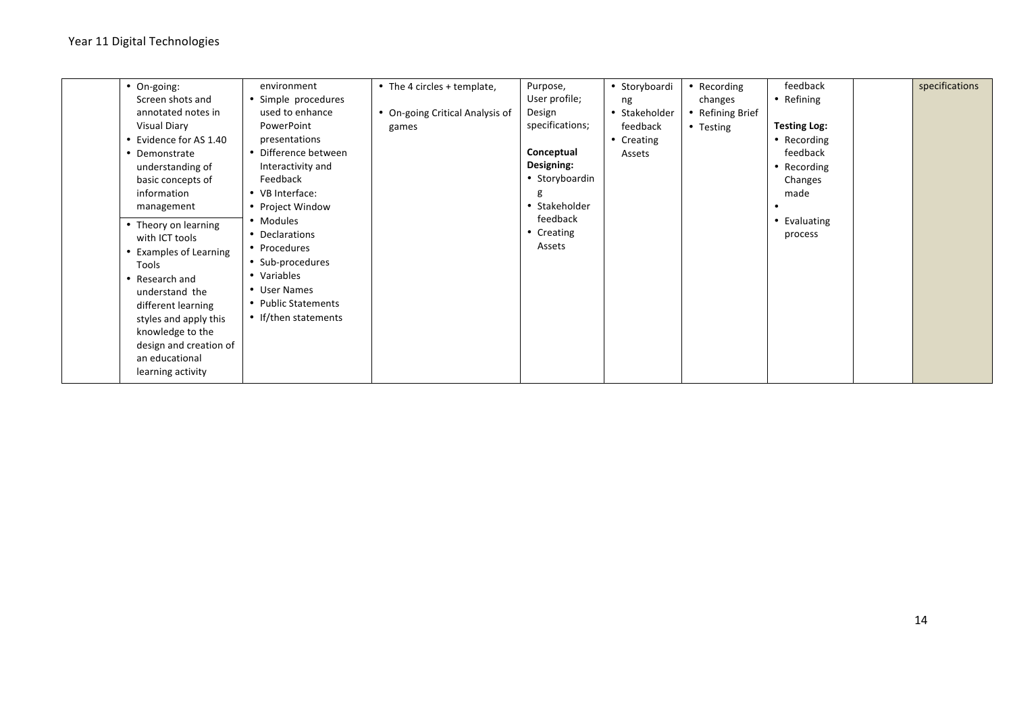| • On-going:<br>Screen shots and<br>annotated notes in<br><b>Visual Diary</b><br>• Evidence for AS 1.40<br>• Demonstrate<br>understanding of<br>basic concepts of<br>information<br>management<br>• Theory on learning<br>with ICT tools<br>• Examples of Learning<br>Tools<br>• Research and<br>understand the<br>different learning<br>styles and apply this<br>knowledge to the<br>design and creation of<br>an educational<br>learning activity | environment<br>• Simple procedures<br>used to enhance<br>PowerPoint<br>presentations<br>• Difference between<br>Interactivity and<br>Feedback<br>• VB Interface:<br>• Project Window<br>• Modules<br>• Declarations<br>• Procedures<br>• Sub-procedures<br>• Variables<br>• User Names<br>• Public Statements<br>• If/then statements | • The 4 circles + template,<br>• On-going Critical Analysis of<br>games | Purpose,<br>User profile;<br>Design<br>specifications;<br>Conceptual<br>Designing:<br>• Storyboardin<br>g<br>• Stakeholder<br>feedback<br>• Creating<br>Assets | • Storyboardi<br>ng<br>• Stakeholder<br>feedback<br>• Creating<br>Assets | • Recording<br>changes<br>• Refining Brief<br>• Testing | feedback<br>• Refining<br><b>Testing Log:</b><br>• Recording<br>feedback<br>• Recording<br>Changes<br>made<br>• Evaluating<br>process |  | specifications |
|----------------------------------------------------------------------------------------------------------------------------------------------------------------------------------------------------------------------------------------------------------------------------------------------------------------------------------------------------------------------------------------------------------------------------------------------------|---------------------------------------------------------------------------------------------------------------------------------------------------------------------------------------------------------------------------------------------------------------------------------------------------------------------------------------|-------------------------------------------------------------------------|----------------------------------------------------------------------------------------------------------------------------------------------------------------|--------------------------------------------------------------------------|---------------------------------------------------------|---------------------------------------------------------------------------------------------------------------------------------------|--|----------------|
|----------------------------------------------------------------------------------------------------------------------------------------------------------------------------------------------------------------------------------------------------------------------------------------------------------------------------------------------------------------------------------------------------------------------------------------------------|---------------------------------------------------------------------------------------------------------------------------------------------------------------------------------------------------------------------------------------------------------------------------------------------------------------------------------------|-------------------------------------------------------------------------|----------------------------------------------------------------------------------------------------------------------------------------------------------------|--------------------------------------------------------------------------|---------------------------------------------------------|---------------------------------------------------------------------------------------------------------------------------------------|--|----------------|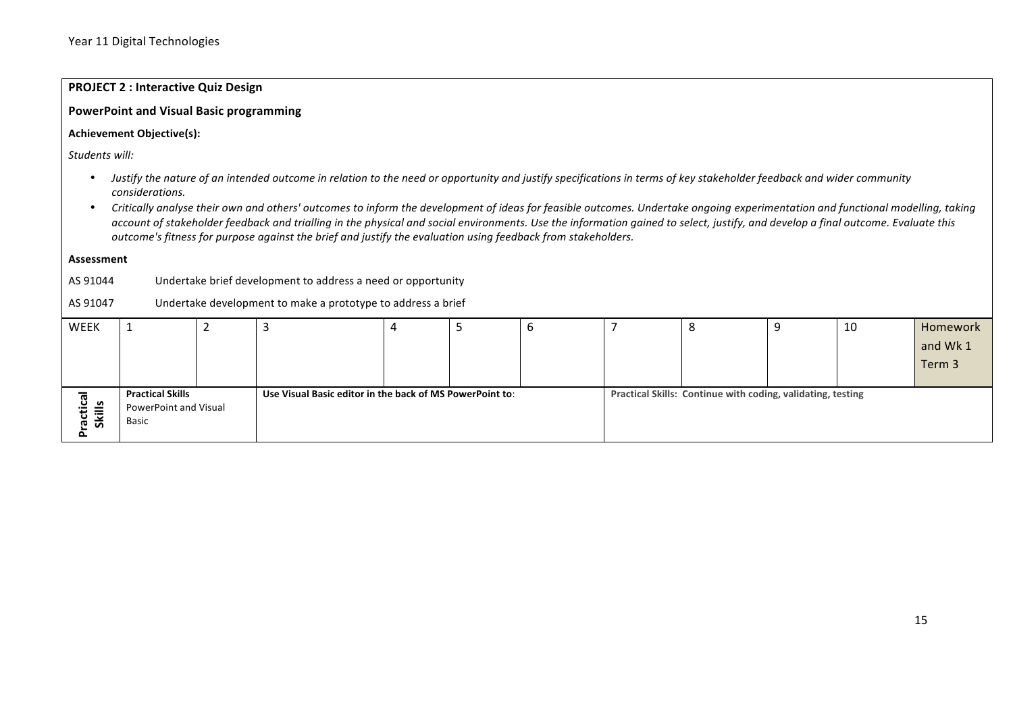## **PROJECT 2 : Interactive Quiz Design**

#### PowerPoint and Visual Basic programming

#### **Achievement Objective(s):**

Students will:

- Justify the nature of an intended outcome in relation to the need or opportunity and justify specifications in terms of key stakeholder feedback and wider community *considerations.*
- Critically analyse their own and others' outcomes to inform the development of ideas for feasible outcomes. Undertake ongoing experimentation and functional modelling, taking account of stakeholder feedback and trialling in the physical and social environments. Use the information gained to select, justify, and develop a final outcome. Evaluate this *outcome's fitness for purpose against the brief and justify the evaluation using feedback from stakeholders.*

#### **Assessment**

AS 91044 Undertake brief development to address a need or opportunity

#### AS 91047 Undertake development to make a prototype to address a brief

| WEEK                   |                         |                                                          |  | ັບ | c                                                           | 10 | Homework |
|------------------------|-------------------------|----------------------------------------------------------|--|----|-------------------------------------------------------------|----|----------|
|                        |                         |                                                          |  |    |                                                             |    | and Wk 1 |
|                        |                         |                                                          |  |    |                                                             |    | Term 3   |
|                        |                         |                                                          |  |    |                                                             |    |          |
| <u>ថិ   »</u>          | <b>Practical Skills</b> | Use Visual Basic editor in the back of MS PowerPoint to: |  |    | Practical Skills: Continue with coding, validating, testing |    |          |
|                        | PowerPoint and Visual   |                                                          |  |    |                                                             |    |          |
| Skill<br><u>ن</u><br>ത | Basic                   |                                                          |  |    |                                                             |    |          |
|                        |                         |                                                          |  |    |                                                             |    |          |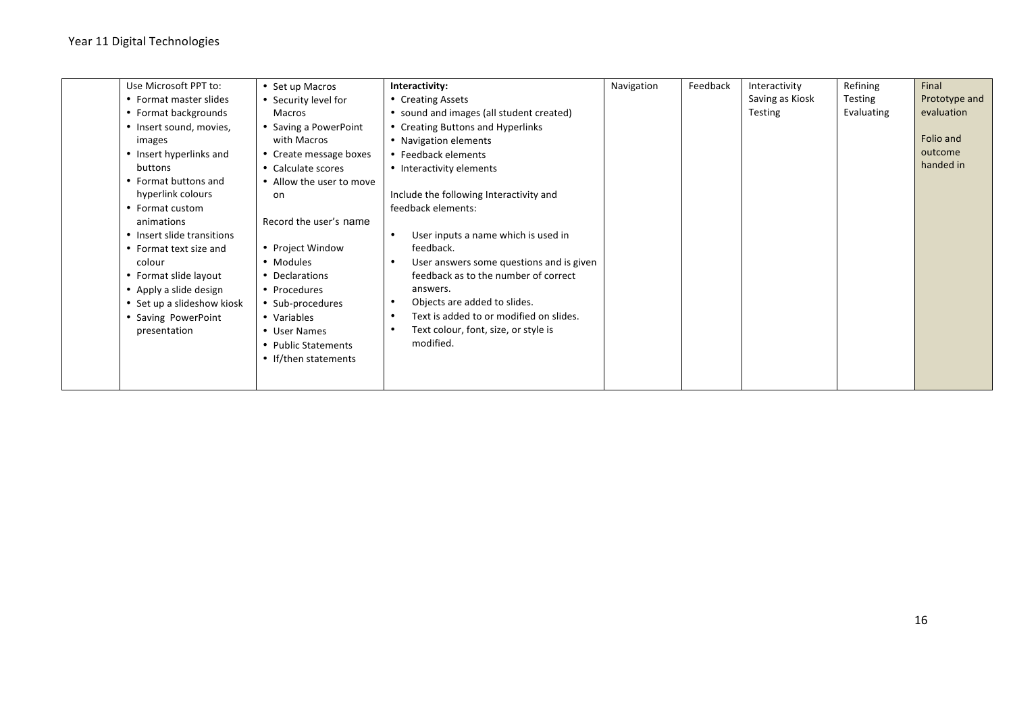| Use Microsoft PPT to:      | • Set up Macros          | Interactivity:                                        | Navigation | Feedback | Interactivity   | Refining   | Final         |
|----------------------------|--------------------------|-------------------------------------------------------|------------|----------|-----------------|------------|---------------|
| • Format master slides     | • Security level for     | • Creating Assets                                     |            |          | Saving as Kiosk | Testing    | Prototype and |
| • Format backgrounds       | Macros                   | • sound and images (all student created)              |            |          | Testing         | Evaluating | evaluation    |
| • Insert sound, movies,    | • Saving a PowerPoint    | • Creating Buttons and Hyperlinks                     |            |          |                 |            |               |
| images                     | with Macros              | • Navigation elements                                 |            |          |                 |            | Folio and     |
| • Insert hyperlinks and    | • Create message boxes   | • Feedback elements                                   |            |          |                 |            | outcome       |
| buttons                    | • Calculate scores       | • Interactivity elements                              |            |          |                 |            | handed in     |
| • Format buttons and       | • Allow the user to move |                                                       |            |          |                 |            |               |
| hyperlink colours          | on                       | Include the following Interactivity and               |            |          |                 |            |               |
| • Format custom            |                          | feedback elements:                                    |            |          |                 |            |               |
| animations                 | Record the user's name   |                                                       |            |          |                 |            |               |
| • Insert slide transitions |                          | User inputs a name which is used in<br>$\bullet$      |            |          |                 |            |               |
| • Format text size and     | • Project Window         | feedback.                                             |            |          |                 |            |               |
| colour                     | • Modules                | User answers some questions and is given<br>$\bullet$ |            |          |                 |            |               |
| • Format slide layout      | • Declarations           | feedback as to the number of correct                  |            |          |                 |            |               |
| • Apply a slide design     | • Procedures             | answers.                                              |            |          |                 |            |               |
| • Set up a slideshow kiosk | • Sub-procedures         | Objects are added to slides.<br>٠                     |            |          |                 |            |               |
| • Saving PowerPoint        | • Variables              | Text is added to or modified on slides.<br>$\bullet$  |            |          |                 |            |               |
| presentation               | • User Names             | Text colour, font, size, or style is                  |            |          |                 |            |               |
|                            | • Public Statements      | modified.                                             |            |          |                 |            |               |
|                            | • If/then statements     |                                                       |            |          |                 |            |               |
|                            |                          |                                                       |            |          |                 |            |               |
|                            |                          |                                                       |            |          |                 |            |               |
|                            |                          |                                                       |            |          |                 |            |               |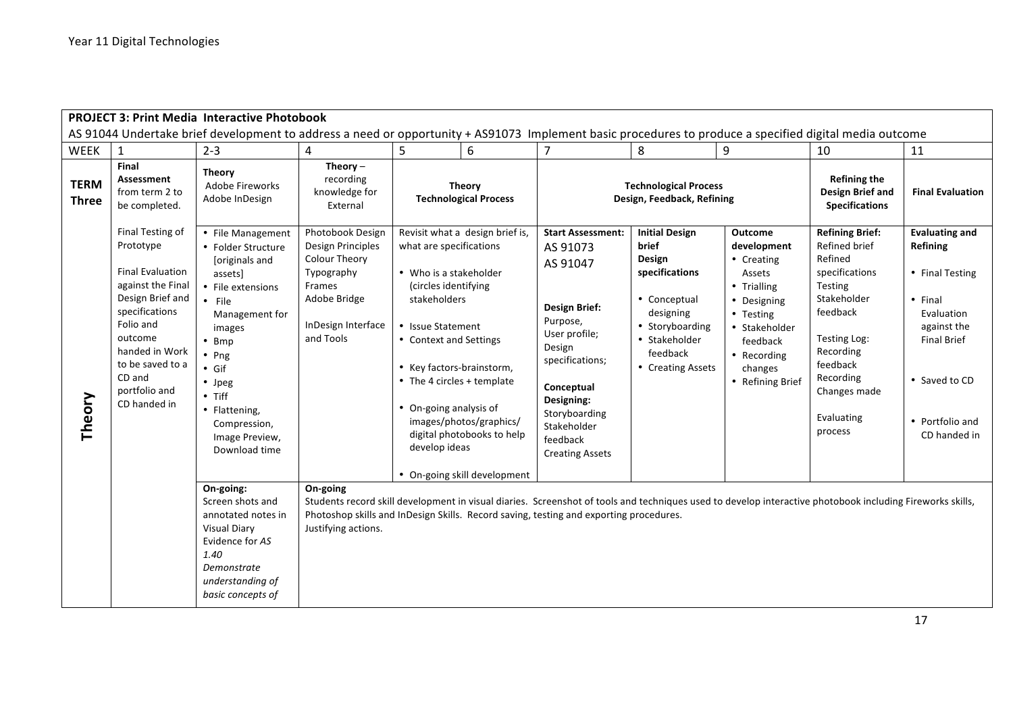|                             |                                                                                                                                                                                                                              | <b>PROJECT 3: Print Media Interactive Photobook</b>                                                                                                                                                                                                                                  |                                                                                                                                                 |                                                                                                                                                                                                                                                |                                                                                                                          |                                                                                                                                                                                                                                      |                                                                                                                                                              |                                                                                                                                                                             |                                                                                                                                                                                                                  |                                                                                                                                                                          |
|-----------------------------|------------------------------------------------------------------------------------------------------------------------------------------------------------------------------------------------------------------------------|--------------------------------------------------------------------------------------------------------------------------------------------------------------------------------------------------------------------------------------------------------------------------------------|-------------------------------------------------------------------------------------------------------------------------------------------------|------------------------------------------------------------------------------------------------------------------------------------------------------------------------------------------------------------------------------------------------|--------------------------------------------------------------------------------------------------------------------------|--------------------------------------------------------------------------------------------------------------------------------------------------------------------------------------------------------------------------------------|--------------------------------------------------------------------------------------------------------------------------------------------------------------|-----------------------------------------------------------------------------------------------------------------------------------------------------------------------------|------------------------------------------------------------------------------------------------------------------------------------------------------------------------------------------------------------------|--------------------------------------------------------------------------------------------------------------------------------------------------------------------------|
|                             |                                                                                                                                                                                                                              | AS 91044 Undertake brief development to address a need or opportunity + AS91073 Implement basic procedures to produce a specified digital media outcome                                                                                                                              |                                                                                                                                                 |                                                                                                                                                                                                                                                |                                                                                                                          |                                                                                                                                                                                                                                      |                                                                                                                                                              |                                                                                                                                                                             |                                                                                                                                                                                                                  |                                                                                                                                                                          |
| <b>WEEK</b>                 | 1                                                                                                                                                                                                                            | $2 - 3$                                                                                                                                                                                                                                                                              | 4                                                                                                                                               | 5                                                                                                                                                                                                                                              | 6                                                                                                                        | $\overline{7}$                                                                                                                                                                                                                       | 8                                                                                                                                                            | 9                                                                                                                                                                           | 10                                                                                                                                                                                                               | 11                                                                                                                                                                       |
| <b>TERM</b><br><b>Three</b> | Final<br>Assessment<br>from term 2 to<br>be completed.                                                                                                                                                                       | <b>Theory</b><br>Adobe Fireworks<br>Adobe InDesign                                                                                                                                                                                                                                   | Theory $-$<br>recording<br>knowledge for<br>External                                                                                            | <b>Theory</b><br><b>Technological Process</b>                                                                                                                                                                                                  |                                                                                                                          |                                                                                                                                                                                                                                      | <b>Technological Process</b><br>Design, Feedback, Refining                                                                                                   |                                                                                                                                                                             | <b>Refining the</b><br><b>Design Brief and</b><br><b>Specifications</b>                                                                                                                                          | <b>Final Evaluation</b>                                                                                                                                                  |
| Theory                      | Final Testing of<br>Prototype<br><b>Final Evaluation</b><br>against the Final<br>Design Brief and<br>specifications<br>Folio and<br>outcome<br>handed in Work<br>to be saved to a<br>CD and<br>portfolio and<br>CD handed in | • File Management<br>• Folder Structure<br>[originals and<br>assets]<br>• File extensions<br>$\cdot$ File<br>Management for<br>images<br>$\cdot$ Bmp<br>$\cdot$ Png<br>$\bullet$ Gif<br>• Jpeg<br>$\bullet$ Tiff<br>• Flattening,<br>Compression,<br>Image Preview,<br>Download time | Photobook Design<br><b>Design Principles</b><br><b>Colour Theory</b><br>Typography<br>Frames<br>Adobe Bridge<br>InDesign Interface<br>and Tools | what are specifications<br>• Who is a stakeholder<br>(circles identifying<br>stakeholders<br>• Issue Statement<br>• Context and Settings<br>• Key factors-brainstorm,<br>• The 4 circles + template<br>• On-going analysis of<br>develop ideas | Revisit what a design brief is,<br>images/photos/graphics/<br>digital photobooks to help<br>• On-going skill development | <b>Start Assessment:</b><br>AS 91073<br>AS 91047<br><b>Design Brief:</b><br>Purpose,<br>User profile;<br>Design<br>specifications;<br>Conceptual<br>Designing:<br>Storyboarding<br>Stakeholder<br>feedback<br><b>Creating Assets</b> | <b>Initial Design</b><br>brief<br>Design<br>specifications<br>• Conceptual<br>designing<br>• Storyboarding<br>• Stakeholder<br>feedback<br>• Creating Assets | <b>Outcome</b><br>development<br>• Creating<br>Assets<br>• Trialling<br>• Designing<br>• Testing<br>• Stakeholder<br>feedback<br>• Recording<br>changes<br>• Refining Brief | <b>Refining Brief:</b><br>Refined brief<br>Refined<br>specifications<br><b>Testing</b><br>Stakeholder<br>feedback<br>Testing Log:<br>Recording<br>feedback<br>Recording<br>Changes made<br>Evaluating<br>process | <b>Evaluating and</b><br>Refining<br>• Final Testing<br>$•$ Final<br>Evaluation<br>against the<br><b>Final Brief</b><br>• Saved to CD<br>• Portfolio and<br>CD handed in |
|                             |                                                                                                                                                                                                                              | On-going:<br>Screen shots and<br>annotated notes in<br><b>Visual Diary</b><br>Evidence for AS<br>1.40<br>Demonstrate<br>understanding of<br>basic concepts of                                                                                                                        | On-going<br>Justifying actions.                                                                                                                 |                                                                                                                                                                                                                                                |                                                                                                                          | Photoshop skills and InDesign Skills. Record saving, testing and exporting procedures.                                                                                                                                               | Students record skill development in visual diaries. Screenshot of tools and techniques used to develop interactive photobook including Fireworks skills,    |                                                                                                                                                                             |                                                                                                                                                                                                                  |                                                                                                                                                                          |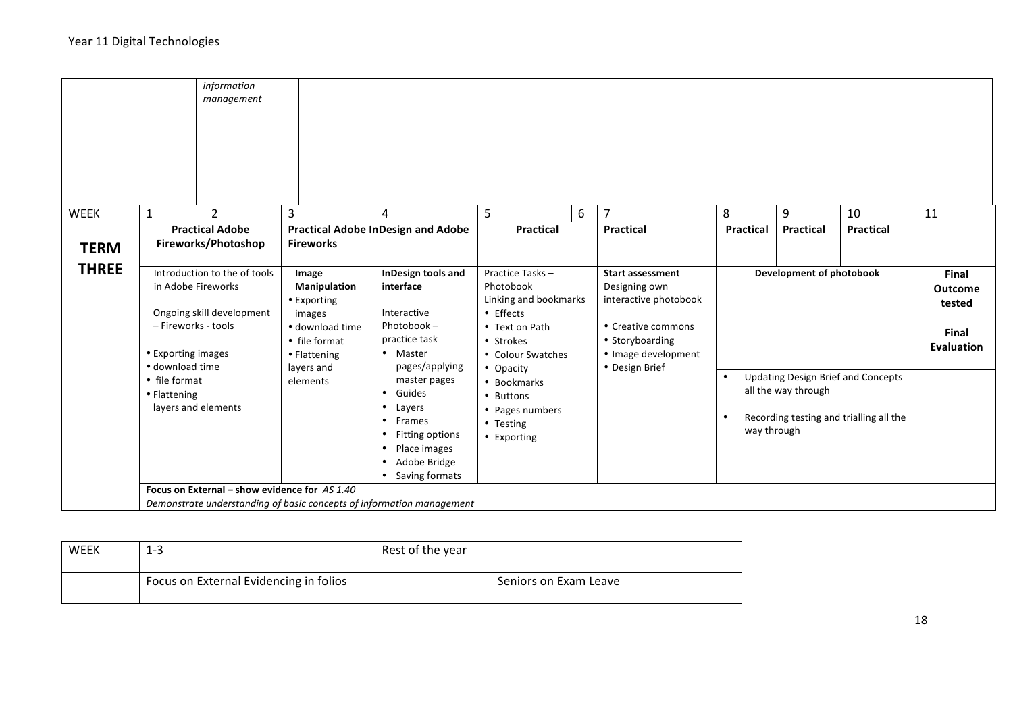|              |                                                                               | information<br>management                                                                                              |                                                                                                                                     |                                                                                                                                                                                                   |                                                                                                                                                                                                                |                                                                                                                                                     |                                                                                                     |                  |                  |                                                                 |    |  |
|--------------|-------------------------------------------------------------------------------|------------------------------------------------------------------------------------------------------------------------|-------------------------------------------------------------------------------------------------------------------------------------|---------------------------------------------------------------------------------------------------------------------------------------------------------------------------------------------------|----------------------------------------------------------------------------------------------------------------------------------------------------------------------------------------------------------------|-----------------------------------------------------------------------------------------------------------------------------------------------------|-----------------------------------------------------------------------------------------------------|------------------|------------------|-----------------------------------------------------------------|----|--|
| <b>WEEK</b>  | $\mathbf{1}$                                                                  | $\overline{2}$                                                                                                         | 3                                                                                                                                   | 4                                                                                                                                                                                                 | 5                                                                                                                                                                                                              | 6                                                                                                                                                   | 7                                                                                                   | 8                | 9                | 10                                                              | 11 |  |
| <b>TERM</b>  |                                                                               | <b>Practical Adobe</b><br>Fireworks/Photoshop                                                                          | <b>Practical Adobe InDesign and Adobe</b><br><b>Fireworks</b>                                                                       |                                                                                                                                                                                                   | <b>Practical</b>                                                                                                                                                                                               |                                                                                                                                                     | <b>Practical</b>                                                                                    | <b>Practical</b> | <b>Practical</b> | <b>Practical</b>                                                |    |  |
| <b>THREE</b> | - Fireworks - tools<br>• Exporting images<br>· download time<br>• file format | Introduction to the of tools<br>in Adobe Fireworks<br>Ongoing skill development                                        | Image<br><b>Manipulation</b><br>• Exporting<br>images<br>· download time<br>• file format<br>• Flattening<br>layers and<br>elements | InDesign tools and<br>interface<br>Interactive<br>Photobook-<br>practice task<br>• Master<br>pages/applying<br>master pages                                                                       | Practice Tasks-<br>Photobook<br>Linking and bookmarks<br>• Effects<br>• Text on Path<br>• Strokes<br>• Colour Swatches<br>• Opacity<br>• Bookmarks<br>• Buttons<br>• Pages numbers<br>• Testing<br>• Exporting | <b>Start assessment</b><br>Designing own<br>interactive photobook<br>• Creative commons<br>• Storyboarding<br>• Image development<br>• Design Brief | <b>Development of photobook</b><br><b>Updating Design Brief and Concepts</b><br>all the way through |                  |                  | Final<br><b>Outcome</b><br>tested<br>Final<br><b>Evaluation</b> |    |  |
|              | • Flattening                                                                  | layers and elements                                                                                                    |                                                                                                                                     | Guides<br>$\bullet$<br>$\bullet$<br>Layers<br><b>Frames</b><br>$\bullet$<br>Fitting options<br>$\bullet$<br>Place images<br>$\bullet$<br>Adobe Bridge<br>$\bullet$<br>Saving formats<br>$\bullet$ |                                                                                                                                                                                                                |                                                                                                                                                     |                                                                                                     | way through      |                  | Recording testing and trialling all the                         |    |  |
|              |                                                                               | Focus on External - show evidence for AS 1.40<br>Demonstrate understanding of basic concepts of information management |                                                                                                                                     |                                                                                                                                                                                                   |                                                                                                                                                                                                                |                                                                                                                                                     |                                                                                                     |                  |                  |                                                                 |    |  |

| WEEK | $1 - 3$                                | Rest of the year      |
|------|----------------------------------------|-----------------------|
|      | Focus on External Evidencing in folios | Seniors on Exam Leave |